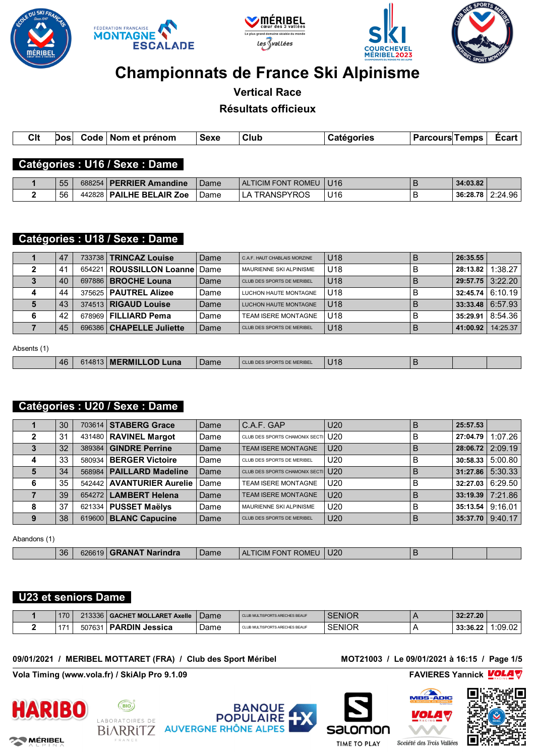









# **Championnats de France Ski Alpinisme**

**Vertical Race**

**Résultats officieux**

| . Nom<br>פּסכ<br>^1<br>ാൻ |                       |  |          |      |      |  |      |
|---------------------------|-----------------------|--|----------|------|------|--|------|
| ___<br>$\sim$             | <b>C<sub>It</sub></b> |  | . prénom | Sexe | Club |  | :car |

#### **Catégories : U16 / Sexe : Dame**

| 55 |        | 688254   PERRIER Amandine | Dame | ALTICIM FONT ROMEU | U <sub>16</sub> |   | 34:03.82 |         |
|----|--------|---------------------------|------|--------------------|-----------------|---|----------|---------|
| 56 | 442828 | PAILHE BELAIR Zoe         | Dame | TRANSPYROS         | U16             | ◡ | 36:28.78 | 2:24.96 |

# **Catégories : U18 / Sexe : Dame**

| 47 | 733738   <b>TRINCAZ Louise</b>    | Dame | C.A.F. HAUT CHABLAIS MORZINE | U <sub>18</sub> | В | 26:35.55 |                         |
|----|-----------------------------------|------|------------------------------|-----------------|---|----------|-------------------------|
| 41 | 654221   ROUSSILLON Loanne   Dame |      | MAURIENNE SKI ALPINISME      | U18             | в | 28:13.82 | 1:38.27                 |
| 40 | 697886   <b>BROCHE Louna</b>      | Dame | CLUB DES SPORTS DE MERIBEL   | U <sub>18</sub> | В |          | $29:57.75$ 3:22.20      |
| 44 | 375625 PAUTREL Alizee             | Dame | LUCHON HAUTE MONTAGNE        | U18             | в |          | $32:45.74 \mid 6:10.19$ |
| 43 | 374513   RIGAUD Louise            | Dame | <b>LUCHON HAUTE MONTAGNE</b> | <b>U18</b>      | в |          | $33:33.48 \mid 6:57.93$ |
| 42 | 678969   FILLIARD Pema            | Dame | <b>TEAM ISERE MONTAGNE</b>   | U18             | в |          | 35:29.91   8:54.36      |
| 45 | 696386   CHAPELLE Juliette        | Dame | CLUB DES SPORTS DE MERIBEL   | U <sub>18</sub> | В | 41:00.92 | 14:25.37                |

Absents (1)

| 46 | 1148 | <b>MERMILLOD</b><br>∠una | 'Jame | <b>S DE MERIBE.</b><br>Ð<br>$\mathbf{m}$ | $\overline{A}$<br>. . |  |  |
|----|------|--------------------------|-------|------------------------------------------|-----------------------|--|--|
|    |      |                          |       |                                          |                       |  |  |

# **Catégories : U20 / Sexe : Dame**

| 30 |        | 703614 STABERG Grace       | Dame | C.A.F. GAP                         | U <sub>20</sub> | B | 25:57.53                |                         |
|----|--------|----------------------------|------|------------------------------------|-----------------|---|-------------------------|-------------------------|
| 31 |        | 431480 RAVINEL Margot      | Dame | CLUB DES SPORTS CHAMONIX SECTI U20 |                 | в | 27:04.79                | 1:07.26                 |
| 32 |        | 389384   GINDRE Perrine    | Dame | <b>TEAM ISERE MONTAGNE</b>         | U <sub>20</sub> | B | 28:06.72                | 2:09.19                 |
| 33 | 580934 | <b>BERGER Victoire</b>     | Dame | CLUB DES SPORTS DE MERIBEL         | U <sub>20</sub> | в | 30:58.33                | 5:00.80                 |
| 34 |        | 568984   PAILLARD Madeline | Dame | CLUB DES SPORTS CHAMONIX SECTI 170 |                 | B | $31:27.86 \mid 5:30.33$ |                         |
| 35 |        | 542442 AVANTURIER Aurelie  | Dame | <b>TEAM ISERE MONTAGNE</b>         | U <sub>20</sub> | B |                         | $32:27.03 \mid 6:29.50$ |
| 39 | 654272 | <b>LAMBERT Helena</b>      | Dame | <b>TEAM ISERE MONTAGNE</b>         | U <sub>20</sub> | B |                         | $33:19.39$ 7:21.86      |
| 37 | 621334 | <b>PUSSET Maëlys</b>       | Dame | <b>MAURIENNE SKI ALPINISME</b>     | U <sub>20</sub> | B | 35:13.54                | 9:16.01                 |
| 38 |        | 619600 BLANC Capucine      | Dame | CLUB DES SPORTS DE MERIBEL         | U <sub>20</sub> | B | 35:37.70                | 9:40.17                 |

Abandons (1)

|  |  | 36 | 626619 | <b>EXAT Narindra</b> | Dame | <b>FICIM</b><br>ONT<br>Al<br>ROMEU | U20<br>__ |  |  |  |
|--|--|----|--------|----------------------|------|------------------------------------|-----------|--|--|--|
|--|--|----|--------|----------------------|------|------------------------------------|-----------|--|--|--|

# **U23 et seniors Dame**

| 170 | 213336 | <b>GACHET MOLLARET</b><br><b>Axelle</b> | Dame | CLUB MULTISPORTS ARECHES BEAUF | SENIOR | 32:27.20 |        |
|-----|--------|-----------------------------------------|------|--------------------------------|--------|----------|--------|
| 47. | 50763  | <b>PARDIN</b><br>Jessica                | Dame | CLUB MULTISPORTS ARECHES BEAUF | SENIOR | 33:36.22 | :09.02 |

#### **09/01/2021 / MERIBEL MOTTARET (FRA) / Club des Sport Méribel MOT21003 / Le 09/01/2021 à 16:15 / Page 1/5**

**Vola Timing (www.vola.fr) / SkiAlp Pro 9.1.09 FAVIERES Yannick** ■ FAVIERES Yannick



**22 MÉRIBEL** 







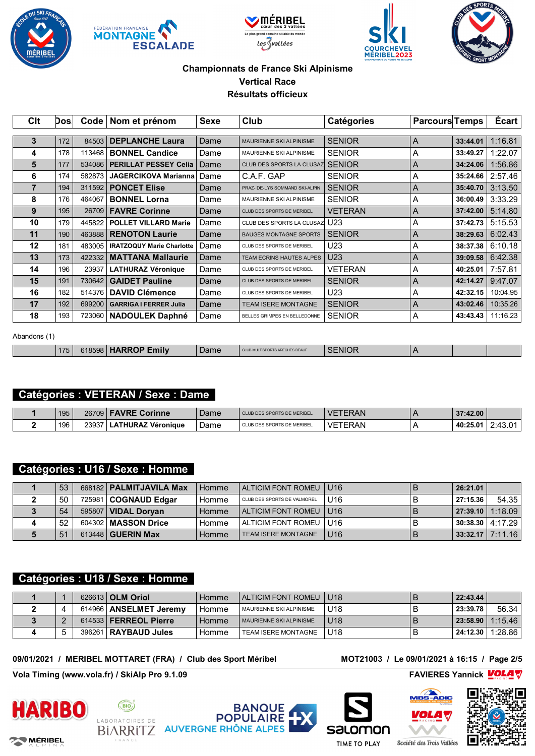









| Clt | Dosl | Code   | Nom et prénom                    | Sexe | <b>Club</b>                    | <b>Catégories</b> | <b>Parcours Temps</b> |          | Écart    |
|-----|------|--------|----------------------------------|------|--------------------------------|-------------------|-----------------------|----------|----------|
|     |      |        |                                  |      |                                |                   |                       |          |          |
| 3   | 172  | 84503  | <b>DEPLANCHE Laura</b>           | Dame | <b>MAURIENNE SKI ALPINISME</b> | <b>SENIOR</b>     | A                     | 33:44.01 | 1:16.81  |
| 4   | 178  | 113468 | <b>BONNEL Candice</b>            | Dame | <b>MAURIENNE SKI ALPINISME</b> | <b>SENIOR</b>     | Α                     | 33:49.27 | 1:22.07  |
| 5   | 177  | 534086 | <b>PERILLAT PESSEY Celia</b>     | Dame | CLUB DES SPORTS LA CLUSAZ      | <b>SENIOR</b>     | A                     | 34:24.06 | 1:56.86  |
| 6   | 174  | 582873 | <b>JAGERCIKOVA Marianna</b>      | Dame | C.A.F. GAP                     | <b>SENIOR</b>     | A                     | 35:24.66 | 2:57.46  |
| 7   | 194  | 311592 | <b>PONCET Elise</b>              | Dame | PRAZ- DE-LYS SOMMAND SKI-ALPIN | <b>SENIOR</b>     | A                     | 35:40.70 | 3:13.50  |
| 8   | 176  | 464067 | <b>BONNEL Lorna</b>              | Dame | <b>MAURIENNE SKI ALPINISME</b> | <b>SENIOR</b>     | A                     | 36:00.49 | 3:33.29  |
| 9   | 195  | 26709  | <b>FAVRE Corinne</b>             | Dame | CLUB DES SPORTS DE MERIBEL     | <b>VETERAN</b>    | A                     | 37:42.00 | 5:14.80  |
| 10  | 179  | 445822 | <b>POLLET VILLARD Marie</b>      | Dame | CLUB DES SPORTS LA CLUSAZ      | U <sub>23</sub>   | A                     | 37:42.73 | 5:15.53  |
| 11  | 190  | 463888 | <b>RENOTON Laurie</b>            | Dame | <b>BAUGES MONTAGNE SPORTS</b>  | <b>SENIOR</b>     | A                     | 38:29.63 | 6:02.43  |
| 12  | 181  | 483005 | <b>IRATZOQUY Marie Charlotte</b> | Dame | CLUB DES SPORTS DE MERIBEL     | U23               | A                     | 38:37.38 | 6:10.18  |
| 13  | 173  | 422332 | <b>MATTANA Mallaurie</b>         | Dame | TEAM ECRINS HAUTES ALPES       | U <sub>23</sub>   | A                     | 39:09.58 | 6:42.38  |
| 14  | 196  | 23937  | <b>LATHURAZ Véronique</b>        | Dame | CLUB DES SPORTS DE MERIBEL     | <b>VETERAN</b>    | A                     | 40:25.01 | 7:57.81  |
| 15  | 191  | 730642 | <b>GAIDET Pauline</b>            | Dame | CLUB DES SPORTS DE MERIBEL     | <b>SENIOR</b>     | A                     | 42:14.27 | 9:47.07  |
| 16  | 182  | 514376 | <b>DAVID Clémence</b>            | Dame | CLUB DES SPORTS DE MERIBEL     | U <sub>23</sub>   | A                     | 42:32.15 | 10:04.95 |
| 17  | 192  | 699200 | <b>GARRIGA I FERRER Julia</b>    | Dame | <b>TEAM ISERE MONTAGNE</b>     | <b>SENIOR</b>     | A                     | 43:02.46 | 10:35.26 |
| 18  | 193  | 723060 | <b>NADOULEK Daphné</b>           | Dame | BELLES GRIMPES EN BELLEDONNE   | <b>SENIOR</b>     | A                     | 43:43.43 | 11:16.23 |

#### Abandons (1)

| 175 | 8598<br>:סור | ∠milv | - - - -<br>Dame | <b>S BEAUF</b> | <b>SENIOR</b><br>_________ |  |  |
|-----|--------------|-------|-----------------|----------------|----------------------------|--|--|
|     |              |       |                 |                |                            |  |  |

# **Catégories : VETERAN / Sexe : Dame**

| 195 | 26709 | <b>FAVRE</b><br>Corinne  | Dame | CLUB DES SPORTS DE MERIBEL | <b>VETERAN</b> | 37:42.00 |                               |
|-----|-------|--------------------------|------|----------------------------|----------------|----------|-------------------------------|
| 196 | 23937 | <b>*THURAZ Véronique</b> | Dame | CLUB DES SPORTS DE MERIBEL | <b>VETERAN</b> | 40:25.01 | 2.42<br>$^{\circ}$<br>2.40.UI |

# **Catégories : U16 / Sexe : Homme**

| 53 | 668182   PALMITJAVILA Max    | Homme | ALTICIM FONT ROMEU   U16    |                 | 26:21.01 |                           |
|----|------------------------------|-------|-----------------------------|-----------------|----------|---------------------------|
| 50 | 725981 COGNAUD Edgar         | Homme | CLUB DES SPORTS DE VALMOREL | U <sub>16</sub> | 27:15.36 | 54.35                     |
| 54 | 595807   <b>VIDAL Dorvan</b> | Homme | ALTICIM FONT ROMEU   U16    |                 |          | 27:39.10 1:18.09          |
| 52 | 604302   MASSON Drice        | Homme | ALTICIM FONT ROMEU   U16    |                 |          | <b>S0:38.30 4:17.29  </b> |
| 51 | 613448   GUERIN Max          | Homme | <b>TEAM ISERE MONTAGNE</b>  | U16             |          | 33:32.17   7:11.16        |

#### **Catégories : U18 / Sexe : Homme**

|  | 626613 OLM Oriol         | ⊥Homme  | ALTICIM FONT ROMEU   U18  |                 |   | 22:43.44 |         |
|--|--------------------------|---------|---------------------------|-----------------|---|----------|---------|
|  | 614966   ANSELMET Jeremy | Homme   | I MAURIENNE SKI ALPINISME | U18             | D | 23:39.78 | 56.34   |
|  | $614533$ FERREOL Pierre  | l Homme | MAURIENNE SKI ALPINISME   | U <sub>18</sub> |   | 23:58.90 | 1:15.46 |
|  | 396261   RAYBAUD Jules   | Homme   | TEAM ISERE MONTAGNE       | U18             | D | 24:12.30 | 1:28.86 |

#### **09/01/2021 / MERIBEL MOTTARET (FRA) / Club des Sport Méribel MOT21003 / Le 09/01/2021 à 16:15 / Page 2/5**

**Vola Timing (www.vola.fr) / SkiAlp Pro 9.1.09 FAVIERES Yannick** ■ FAVIERES Yannick



**22 MÉRIBEL** 











**TIME TO PLAY**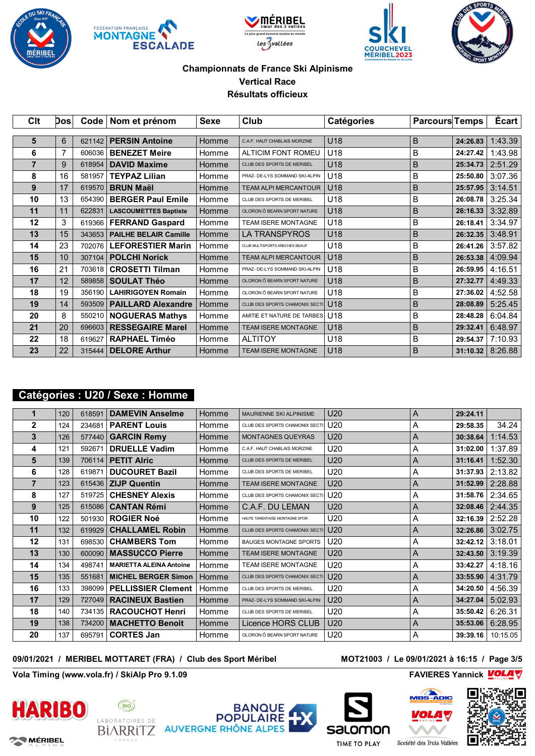









| C <sub>it</sub> | Dosl | Code <sub>1</sub> | Nom et prénom                | <b>Sexe</b> | Club                           | Catégories      | <b>Parcours Temps</b> |          | Écart   |
|-----------------|------|-------------------|------------------------------|-------------|--------------------------------|-----------------|-----------------------|----------|---------|
| 5               | 6    | 621142            | <b>PERSIN Antoine</b>        | Homme       | C.A.F. HAUT CHABLAIS MORZINE   | U18             | B                     | 24:26.83 | 1:43.39 |
| 6               | 7    | 606036            | <b>BENEZET Meire</b>         | Homme       | <b>ALTICIM FONT ROMEU</b>      | U18             | В                     | 24:27.42 | 1:43.98 |
| 7               | 9    | 618954            | <b>DAVID Maxime</b>          |             | CLUB DES SPORTS DE MERIBEL     | U <sub>18</sub> | B                     | 25:34.73 | 2:51.29 |
|                 |      |                   |                              | Homme       |                                |                 |                       |          |         |
| 8               | 16   | 581957            | <b>TEYPAZ Lilian</b>         | Homme       | PRAZ- DE-LYS SOMMAND SKI-ALPIN | U18             | B                     | 25:50.80 | 3:07.36 |
| 9               | 17   | 619570            | <b>BRUN Maël</b>             | Homme       | <b>TEAM ALPI MERCANTOUR</b>    | U18             | B                     | 25:57.95 | 3:14.51 |
| 10              | 13   | 654390            | <b>BERGER Paul Emile</b>     | Homme       | CLUB DES SPORTS DE MERIBEL     | U18             | B                     | 26:08.78 | 3:25.34 |
| 11              | 11   | 622831            | <b>LASCOUMETTES Baptiste</b> | Homme       | OLORON Ô BEARN SPORT NATURE    | U18             | B                     | 26:16.33 | 3:32.89 |
| 12              | 3    | 619366            | <b>FERRAND Gaspard</b>       | Homme       | <b>TEAM ISERE MONTAGNE</b>     | U18             | B                     | 26:18.41 | 3:34.97 |
| 13              | 15   | 343653            | <b>PAILHE BELAIR Camille</b> | Homme       | <b>LA TRANSPYROS</b>           | U18             | B                     | 26:32.35 | 3:48.91 |
| 14              | 23   | 702076            | <b>LEFORESTIER Marin</b>     | Homme       | CLUB MULTISPORTS ARECHES BEAUF | U18             | B                     | 26:41.26 | 3:57.82 |
| 15              | 10   | 307104            | <b>POLCHI Norick</b>         | Homme       | <b>TEAM ALPI MERCANTOUR</b>    | U18             | B                     | 26:53.38 | 4:09.94 |
| 16              | 21   | 703618            | <b>CROSETTI Tilman</b>       | Homme       | PRAZ- DE-LYS SOMMAND SKI-ALPIN | U18             | B                     | 26:59.95 | 4:16.51 |
| 17              | 12   | 589858            | <b>SOULAT Théo</b>           | Homme       | OLORON Ô BEARN SPORT NATURE    | U18             | B                     | 27:32.77 | 4:49.33 |
| 18              | 19   | 356190            | <b>LAHIRIGOYEN Romain</b>    | Homme       | OLORON Ô BEARN SPORT NATURE    | U18             | В                     | 27:36.02 | 4:52.58 |
| 19              | 14   | 593509            | <b>PAILLARD Alexandre</b>    | Homme       | CLUB DES SPORTS CHAMONIX SECTI | U18             | B                     | 28:08.89 | 5:25.45 |
| 20              | 8    | 550210            | <b>NOGUERAS Mathys</b>       | Homme       | AMITIE ET NATURE DE TARBES     | U <sub>18</sub> | В                     | 28:48.28 | 6:04.84 |
| 21              | 20   | 696603            | <b>RESSEGAIRE Marel</b>      | Homme       | <b>TEAM ISERE MONTAGNE</b>     | U18             | B                     | 29:32.41 | 6:48.97 |
| 22              | 18   | 619627            | <b>RAPHAEL Timéo</b>         | Homme       | <b>ALTITOY</b>                 | U18             | В                     | 29:54.37 | 7:10.93 |
| 23              | 22   | 315444            | <b>DELORE Arthur</b>         | Homme       | <b>TEAM ISERE MONTAGNE</b>     | U18             | B                     | 31:10.32 | 8:26.88 |

# **Catégories : U20 / Sexe : Homme**

| 1              | 120 | 618591 | <b>DAMEVIN Anselme</b>         | Homme | <b>MAURIENNE SKI ALPINISME</b> | U <sub>20</sub> | A | 29:24.11 |          |
|----------------|-----|--------|--------------------------------|-------|--------------------------------|-----------------|---|----------|----------|
| $\overline{2}$ | 124 | 234681 | <b>PARENT Louis</b>            | Homme | CLUB DES SPORTS CHAMONIX SECTI | U20             | Α | 29:58.35 | 34.24    |
| 3              | 126 | 577440 | <b>GARCIN Remy</b>             | Homme | <b>MONTAGNES QUEYRAS</b>       | U <sub>20</sub> | A | 30:38.64 | 1:14.53  |
| 4              | 121 | 592671 | <b>DRUELLE Vadim</b>           | Homme | C.A.F. HAUT CHABLAIS MORZINE   | U <sub>20</sub> | Α | 31:02.00 | 1:37.89  |
| 5              | 139 | 706114 | <b>PETIT Alric</b>             | Homme | CLUB DES SPORTS DE MERIBEL     | U <sub>20</sub> | A | 31:16.41 | 1:52.30  |
| 6              | 128 | 619871 | <b>DUCOURET Bazil</b>          | Homme | CLUB DES SPORTS DE MERIBEL     | U <sub>20</sub> | Α | 31:37.93 | 2:13.82  |
| $\overline{7}$ | 123 | 615436 | <b>ZIJP Quentin</b>            | Homme | <b>TEAM ISERE MONTAGNE</b>     | U <sub>20</sub> | A | 31:52.99 | 2:28.88  |
| 8              | 127 | 519725 | <b>CHESNEY Alexis</b>          | Homme | CLUB DES SPORTS CHAMONIX SECTI | U <sub>20</sub> | A | 31:58.76 | 2:34.65  |
| 9              | 125 | 615086 | <b>CANTAN Rémi</b>             | Homme | C.A.F. DU LEMAN                | U <sub>20</sub> | A | 32:08.46 | 2:44.35  |
| 10             | 122 | 501930 | <b>ROGIER Noé</b>              | Homme | HAUTE TARENTAISE MONTAGNE SPOR | U <sub>20</sub> | Α | 32:16.39 | 2:52.28  |
| 11             | 132 | 619929 | <b>CHALLAMEL Robin</b>         | Homme | CLUB DES SPORTS CHAMONIX SECTI | U <sub>20</sub> | A | 32:26.86 | 3:02.75  |
| 12             | 131 | 698530 | <b>CHAMBERS Tom</b>            | Homme | <b>BAUGES MONTAGNE SPORTS</b>  | U20             | Α | 32:42.12 | 3:18.01  |
| 13             | 130 | 600090 | <b>MASSUCCO Pierre</b>         | Homme | <b>TEAM ISERE MONTAGNE</b>     | U <sub>20</sub> | A | 32:43.50 | 3:19.39  |
| 14             | 134 | 498741 | <b>MARIETTA ALEINA Antoine</b> | Homme | <b>TEAM ISERE MONTAGNE</b>     | U20             | Α | 33:42.27 | 4:18.16  |
| 15             | 135 | 551681 | <b>MICHEL BERGER Simon</b>     | Homme | CLUB DES SPORTS CHAMONIX SECTI | U <sub>20</sub> | A | 33:55.90 | 4:31.79  |
| 16             | 133 | 398099 | <b>PELLISSIER Clement</b>      | Homme | CLUB DES SPORTS DE MERIBEL     | U <sub>20</sub> | A | 34:20.50 | 4:56.39  |
| 17             | 129 |        | 727049   RACINEUX Bastien      | Homme | PRAZ- DE-LYS SOMMAND SKI-ALPIN | U <sub>20</sub> | A | 34:27.04 | 5:02.93  |
| 18             | 140 | 734135 | <b>RACOUCHOT Henri</b>         | Homme | CLUB DES SPORTS DE MERIBEL     | U <sub>20</sub> | Α | 35:50.42 | 6:26.31  |
| 19             | 138 | 734200 | <b>MACHETTO Benoit</b>         | Homme | Licence HORS CLUB              | U <sub>20</sub> | A | 35:53.06 | 6:28.95  |
| 20             | 137 | 695791 | <b>CORTES Jan</b>              | Homme | OLORON Ô BEARN SPORT NATURE    | U20             | A | 39:39.16 | 10:15.05 |

#### **09/01/2021 / MERIBEL MOTTARET (FRA) / Club des Sport Méribel MOT21003 / Le 09/01/2021 à 16:15 / Page 3/5**

**Vola Timing (www.vola.fr) / SkiAlp Pro 9.1.09 FAVIERES Yannick VOLAT** 



**22 MÉRIBEL** 





**ADIC** 





**TIME TO PLAY** 

Société des Trois Vallées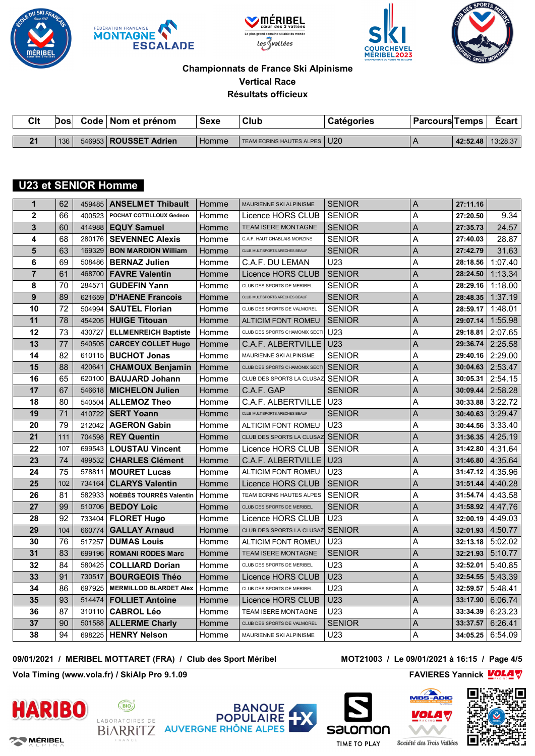









| Clt          | Dos | Code | Nom et prénom           | Sexe  | Club                     | <b>Catégories</b> | <b>Parcours</b> | ⊺emps    | Ecart    |
|--------------|-----|------|-------------------------|-------|--------------------------|-------------------|-----------------|----------|----------|
|              |     |      |                         |       |                          |                   |                 |          |          |
| $\mathbf{A}$ | 136 |      | 546953   ROUSSET Adrien | Homme | TEAM ECRINS HAUTES ALPES | U <sub>20</sub>   |                 | 42:52.48 | 13:28.37 |

# **U23 et SENIOR Homme**

| $\mathbf{1}$   | 62  | 459485 | <b>ANSELMET Thibault</b>       | Homme | MAURIENNE SKI ALPINISME          | <b>SENIOR</b>   | A              | 27:11.16 |         |
|----------------|-----|--------|--------------------------------|-------|----------------------------------|-----------------|----------------|----------|---------|
| $\overline{2}$ | 66  | 400523 | POCHAT COTTILLOUX Gedeon       | Homme | Licence HORS CLUB                | <b>SENIOR</b>   | Α              | 27:20.50 | 9.34    |
| 3              | 60  |        | 414988   EQUY Samuel           | Homme | TEAM ISERE MONTAGNE              | <b>SENIOR</b>   | A              | 27:35.73 | 24.57   |
| 4              | 68  | 280176 | <b>SEVENNEC Alexis</b>         | Homme | C.A.F. HAUT CHABLAIS MORZINE     | <b>SENIOR</b>   | Α              | 27:40.03 | 28.87   |
| 5              | 63  | 169329 | <b>BON MARDION William</b>     | Homme | CLUB MULTISPORTS ARECHES BEAUF   | <b>SENIOR</b>   | Α              | 27:42.79 | 31.63   |
| 6              | 69  | 508486 | <b>BERNAZ Julien</b>           | Homme | C.A.F. DU LEMAN                  | U23             | Α              | 28:18.56 | 1:07.40 |
| $\overline{7}$ | 61  | 468700 | <b>FAVRE Valentin</b>          | Homme | Licence HORS CLUB                | <b>SENIOR</b>   | A              | 28:24.50 | 1:13.34 |
| 8              | 70  | 284571 | <b>GUDEFIN Yann</b>            | Homme | CLUB DES SPORTS DE MERIBEL       | <b>SENIOR</b>   | A              | 28:29.16 | 1:18.00 |
| 9              | 89  | 621659 | <b>D'HAENE Francois</b>        | Homme | CLUB MULTISPORTS ARECHES BEAUF   | <b>SENIOR</b>   | A              | 28:48.35 | 1:37.19 |
| 10             | 72  | 504994 | <b>SAUTEL Florian</b>          | Homme | CLUB DES SPORTS DE VALMOREL      | <b>SENIOR</b>   | Α              | 28:59.17 | 1:48.01 |
| 11             | 78  | 454205 | <b>HUIGE Titouan</b>           | Homme | ALTICIM FONT ROMEU               | <b>SENIOR</b>   | $\overline{A}$ | 29:07.14 | 1:55.98 |
| 12             | 73  | 430727 | <b>ELLMENREICH Baptiste</b>    | Homme | CLUB DES SPORTS CHAMONIX SECTI   | U <sub>23</sub> | Α              | 29:18.81 | 2:07.65 |
| 13             | 77  | 540505 | <b>CARCEY COLLET Hugo</b>      | Homme | C.A.F. ALBERTVILLE               | U23             | A              | 29:36.74 | 2:25.58 |
| 14             | 82  |        | 610115   <b>BUCHOT Jonas</b>   | Homme | MAURIENNE SKI ALPINISME          | <b>SENIOR</b>   | Α              | 29:40.16 | 2:29.00 |
| 15             | 88  | 420641 | <b>CHAMOUX Benjamin</b>        | Homme | CLUB DES SPORTS CHAMONIX SECTI   | <b>SENIOR</b>   | A              | 30:04.63 | 2:53.47 |
| 16             | 65  | 620100 | <b>BAUJARD Johann</b>          | Homme | CLUB DES SPORTS LA CLUSAZ        | <b>SENIOR</b>   | Α              | 30:05.31 | 2:54.15 |
| 17             | 67  | 546618 | <b>MICHELON Julien</b>         | Homme | C.A.F. GAP                       | <b>SENIOR</b>   | A              | 30:09.44 | 2:58.28 |
| 18             | 80  | 540504 | <b>ALLEMOZ Theo</b>            | Homme | C.A.F. ALBERTVILLE               | U <sub>23</sub> | A              | 30:33.88 | 3:22.72 |
| 19             | 71  | 410722 | <b>SERT Yoann</b>              | Homme | CLUB MULTISPORTS ARECHES BEAUF   | <b>SENIOR</b>   | A              | 30:40.63 | 3:29.47 |
| 20             | 79  | 212042 | <b>AGERON Gabin</b>            | Homme | ALTICIM FONT ROMEU               | U23             | Α              | 30:44.56 | 3:33.40 |
| 21             | 111 |        | 704598 REY Quentin             | Homme | CLUB DES SPORTS LA CLUSAZ SENIOR |                 | A              | 31:36.35 | 4:25.19 |
| 22             | 107 |        | 699543   LOUSTAU Vincent       | Homme | Licence HORS CLUB                | <b>SENIOR</b>   | Α              | 31:42.80 | 4:31.64 |
| 23             | 74  | 499532 | <b>CHARLES Clément</b>         | Homme | C.A.F. ALBERTVILLE               | U23             | A              | 31:46.80 | 4:35.64 |
| 24             | 75  | 578811 | <b>MOURET Lucas</b>            | Homme | ALTICIM FONT ROMEU               | U23             | A              | 31:47.12 | 4:35.96 |
| 25             | 102 | 734164 | <b>CLARYS Valentin</b>         | Homme | Licence HORS CLUB                | <b>SENIOR</b>   | A              | 31:51.44 | 4:40.28 |
| 26             | 81  | 582933 | <b>NOÉBÈS TOURRÈS Valentin</b> | Homme | TEAM ECRINS HAUTES ALPES         | <b>SENIOR</b>   | Α              | 31:54.74 | 4:43.58 |
| 27             | 99  | 510706 | <b>BEDOY Loic</b>              | Homme | CLUB DES SPORTS DE MERIBEL       | <b>SENIOR</b>   | A              | 31:58.92 | 4:47.76 |
| 28             | 92  | 733404 | <b>FLORET Hugo</b>             | Homme | Licence HORS CLUB                | U <sub>23</sub> | Α              | 32:00.19 | 4:49.03 |
| 29             | 104 | 660774 | <b>GALLAY Arnaud</b>           | Homme | CLUB DES SPORTS LA CLUSAZ        | <b>SENIOR</b>   | A              | 32:01.93 | 4:50.77 |
| 30             | 76  | 517257 | <b>DUMAS Louis</b>             | Homme | ALTICIM FONT ROMEU               | U <sub>23</sub> | A              | 32:13.18 | 5:02.02 |
| 31             | 83  | 699196 | <b>ROMANI RODES Marc</b>       | Homme | TEAM ISERE MONTAGNE              | <b>SENIOR</b>   | A              | 32:21.93 | 5:10.77 |
| 32             | 84  | 580425 | <b>COLLIARD Dorian</b>         | Homme | CLUB DES SPORTS DE MERIBEL       | U <sub>23</sub> | Α              | 32:52.01 | 5:40.85 |
| 33             | 91  | 730517 | <b>BOURGEOIS Théo</b>          | Homme | Licence HORS CLUB                | <b>U23</b>      | $\overline{A}$ | 32:54.55 | 5:43.39 |
| 34             | 86  | 697925 | <b>MERMILLOD BLARDET Alex</b>  | Homme | CLUB DES SPORTS DE MERIBEL       | U23             | Α              | 32:59.57 | 5:48.41 |
| 35             | 93  | 514474 | <b>FOLLIET Antoine</b>         | Homme | Licence HORS CLUB                | U23             | A              | 33:17.90 | 6:06.74 |
| 36             | 87  |        | 310110   CABROL Léo            | Homme | TEAM ISERE MONTAGNE              | U <sub>23</sub> | A              | 33:34.39 | 6:23.23 |
| 37             | 90  | 501588 | <b>ALLERME Charly</b>          | Homme | CLUB DES SPORTS DE VALMOREL      | <b>SENIOR</b>   | Α              | 33:37.57 | 6:26.41 |
| 38             | 94  |        | 698225   HENRY Nelson          | Homme | MAURIENNE SKI ALPINISME          | U23             | A              | 34:05.25 | 6:54.09 |

#### **09/01/2021 / MERIBEL MOTTARET (FRA) / Club des Sport Méribel MOT21003 / Le 09/01/2021 à 16:15 / Page 4/5**

**Vola Timing (www.vola.fr) / SkiAlp Pro 9.1.09 FAVIERES Yannick** ■ FAVIERES Yannick



**22 MÉRIBEL** 











**TIME TO PLAY** 

Société des Trois Vallées